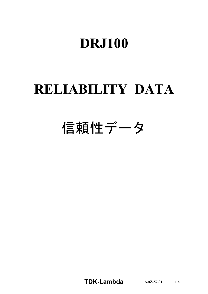# **DRJ100**

# **RELIABILITY DATA**

# 信頼性データ

**TDKLambda A2685701** 1/14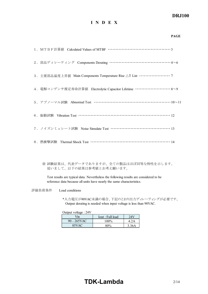### *DRJ100*

### **I N D E X**

|                                                                              | <b>PAGE</b> |
|------------------------------------------------------------------------------|-------------|
|                                                                              |             |
| 2. 部品ディレーティング Components Derating ……………………………………4~6                          |             |
| 3. 主要部品温度上昇值 Main Components Temperature Rise △T List ···················· 7 |             |
| 4. 電解コンデンサ推定寿命計算値 Electrolytic Capacitor Lifetime ………………………8~9               |             |
| 5. アブノーマル試験 Abnormal Test …………………………………………………10~11                           |             |
| 6. 振動試験 Vibration Test …………………………………………………………… 12                            |             |
| 7. ノイズシミュレート試験 Noise Simulate Test ………………………………………… 13                       |             |
| 8. 熱衝擊試験 Thermal Shock Test ………………………………………………… 14                           |             |

※ 試験結果は、代表データでありますが、全ての製品はほぼ同等な特性を示します。 従いまして、以下の結果は参考値とお考え願います。

Test results are typical data. Nevertheless the following results are considered to be reference data because all units have nearly the same characteristics.

評価負荷条件 Load conditions

\*入力電圧が90VAC未満の場合、下記のとおり出力ディレーティングが必要です。 Output derating is needed when input voltage is less than 90VAC.

Output voltage : 24V

| $V$ in      | Iout : Full load | 24 V  |
|-------------|------------------|-------|
| 90 - 265VAC | $100\%$          | 4.2A  |
| 85VAC       | 80%              | 3.36A |

## **TDK-Lambda** 2/14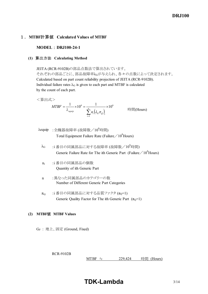### 1.**MTBF**計算値 **Calculated Values of MTBF**

### **MODEL : DRJ100-24-1**

### **(1)** 算出方法 **Calculating Method**

JEITA (RCR-9102B)の部品点数法で算出されています。 それぞれの部品ごとに、部品故障率λGが与えられ、各々の点数によって決定されます。 Calculated based on part count reliability projection of JEITA (RCR-9102B). Individual failure rates  $\lambda$ G is given to each part and MTBF is calculated by the count of each part.

<算出式>

$$
MTBF = \frac{1}{\lambda_{equip}} \times 10^6 = \frac{1}{\sum_{i=1}^n n_i (\lambda_G \pi_Q)_i} \times 10^6
$$
 \nEif (Hours)

- $\lambda$ equip : 全機器故障率 (故障数/10<sup>6</sup>時間) Total Equipment Failure Rate (Failure  $/10^6$ Hours)
	- $\lambda$ G :i 番目の同属部品に対する故障率 (故障数/ $10^6$ 時間) Generic Failure Rate for The ith Generic Part (Failure  $/ 10^6$  Hours)
	- n<sup>i</sup> :i 番目の同属部品の個数 Quantity of ith Generic Part
	- n :異なった同属部品のカテゴリーの数 Number of Different Generic Part Categories
	- $\pi_{\Omega}$  :i 番目の同属部品に対する品質ファクタ ( $\pi_{\Omega}$ =1) Generic Quality Factor for The ith Generic Part  $(\pi_0=1)$

### **(2) MTBF**値 **MTBF Values**

GF : 地上、固定 (Ground, Fixed)

RCR-9102B

MTBF ≒  $229,424$  時間 (Hours)

**TDK-Lambda**  $3/14$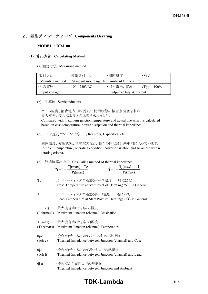### 2.部品ディレーティング **Components Derating**

### **MODEL** : **DRJ100**

#### **(1)** 算出方法 **Calculating Method**

(a) 測定方法 Measuring method

| ・取付方法           | :標準取付 : A                                 | ・周囲温度                      | :55°C           |
|-----------------|-------------------------------------------|----------------------------|-----------------|
| Mounting method | Standard mounting : A Ambient temperature |                            |                 |
| ・入力電圧           | : $100$ , $230$ VAC                       | ・出力電圧、電流                   | : Typ., $100\%$ |
| Input voltage   |                                           | Output voltage $&$ current |                 |

#### (b) 半導体 Semiconductors

 ケース温度、消費電力、熱抵抗より使用状態の接合点温度を求め 最大定格、接合点温度との比較を求めました。 Compared with maximum junction temperature and actual one which is calculated based on case temperature, power dissipation and thermal impedance.

(c) IC、抵抗、コンデンサ等 IC, Resistors, Capacitors, etc.

 周囲温度、使用状態、消費電力など、個々の値は設計基準内に入っています。 Ambient temperature, operating condition, power dissipation and so on are within derating criteria.

(d) 熱抵抗算出方法 Calculating method of thermal impedance

| $\theta$ j – c = $\frac{I(j(max)) - Tc}{}$ | $\theta$ j – $l = \frac{Tj(max) - Tl}{r}$ |
|--------------------------------------------|-------------------------------------------|
| Pj(max)                                    | Pj(max)                                   |

Tc :ディレーティングの始まるケース温度 一般に25℃ Case Temperature at Start Point of Derating;25℃ in General

| T1                              | :ディレーティングの始まるリード温度 一般に25℃<br>Lead Temperature at Start Point of Derating; 25°C in General |
|---------------------------------|-------------------------------------------------------------------------------------------|
| Pj(max)                         | :最大接合点(チャネル)損失<br>(Pch(max)) Maximum Junction (channel) Dissipation                       |
| Tj(max)                         | :最大接合点(チャネル)温度<br>(Tch(max)) Maximum Junction (channel) Temperature                       |
| $\theta$ j-c<br>$(\theta$ ch-c) | :接合点(チャネル)からケースまでの熱抵抗<br>Thermal Impedance between Junction (channel) and Case            |
| $\theta$ j-l<br>$(\theta$ ch-l) | :接合点(チャネル)からリードまでの熱抵抗<br>Thermal Impedance between Junction (channel) and Lead            |
| $\theta$ j-a                    | :接合点から周囲までの熱抵抗<br>Thermal Impedance between Junction and Ambient                          |

## **TDK-Lambda**  $4/14$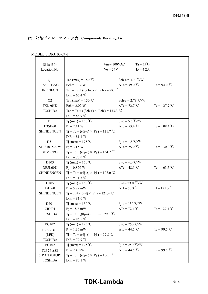### **(2)** 部品ディレーティング表 **Components Derating List**

| 部品番号<br>Location No.      | $\text{Vo} = 24\text{V}$                          | $Ta = 55^{\circ}C$<br>$V$ in = 100VAC<br>$I_0 = 4.2A$ |                       |  |  |  |  |  |
|---------------------------|---------------------------------------------------|-------------------------------------------------------|-----------------------|--|--|--|--|--|
| Q1<br>IPA60R199CP         | Tch (max) = $150^{\circ}$ C<br>$Pch = 1.12 W$     | $\theta$ ch-c = 3.7 °C/W<br>$\Delta$ Tc = 39.0 °C     | $Tc = 94.0$ °C        |  |  |  |  |  |
| <b>INFINEON</b>           | Tch = Tc + (( $\theta$ ch-c) × Pch) = 98.1 °C     |                                                       |                       |  |  |  |  |  |
|                           | D.F. = $65.4\%$                                   |                                                       |                       |  |  |  |  |  |
| Q2                        | Tch (max) = $150^{\circ}$ C                       | $\theta$ ch-c = 2.78 °C/W                             |                       |  |  |  |  |  |
| <b>TK8A65D</b>            | $Pch = 2.02 W$                                    | $\Delta$ Tc = 72.7 °C                                 | $Tc = 127.7^{\circ}C$ |  |  |  |  |  |
| <b>TOSHIBA</b>            | Tch = Tc + (( $\theta$ ch-c) × Pch) = 133.3 °C    |                                                       |                       |  |  |  |  |  |
|                           | D.F. = $88.9\%$                                   |                                                       |                       |  |  |  |  |  |
| D <sub>1</sub>            | Tj (max) = 150 °C                                 | $\theta$ j-c = 5.5 °C/W                               |                       |  |  |  |  |  |
| D3SB60                    | $Pj = 2.41 W$                                     | $\Delta$ Tc = 53.4 °C                                 | $Tc = 108.4$ °C       |  |  |  |  |  |
| <b>SHINDENGEN</b>         | $Tj = Tc + ((\theta j - c) \times Pj) = 121.7$ °C |                                                       |                       |  |  |  |  |  |
|                           | $D.F. = 81.1 \%$                                  |                                                       |                       |  |  |  |  |  |
| D51                       | Tj (max) = 175 °C                                 | $\theta$ j-c = 1.5 °C/W                               |                       |  |  |  |  |  |
| STPS30150CW               | $Pi = 3.15 W$                                     | $\Delta$ Tc = 75.0 °C                                 | $Tc = 130.0$ °C       |  |  |  |  |  |
| ST MICRO.                 | $Tj = Tc + ((\theta j - c) \times Pj) = 134.7$ °C |                                                       |                       |  |  |  |  |  |
|                           | $D.F. = 77.0 \%$                                  |                                                       |                       |  |  |  |  |  |
| D <sub>10</sub> 3         | Tj (max) = $150^{\circ}$ C                        | $\theta$ j-c = 4.0 °C/W                               |                       |  |  |  |  |  |
| DE5L60U                   | $P_1 = 0.879$ W                                   | $\Delta$ Tc = 48.5 °C                                 | Tc = $103.5$ °C       |  |  |  |  |  |
| <b>SHINDENGEN</b>         | $Tj = Tc + ((\theta j - c) \times Pj) = 107.0$ °C |                                                       |                       |  |  |  |  |  |
|                           | $D.F. = 71.3 \%$                                  |                                                       |                       |  |  |  |  |  |
| D <sub>105</sub>          | Tj (max) = $150^{\circ}$ C                        | $\theta$ j-l = 23.0 °C/W                              |                       |  |  |  |  |  |
| D1F60                     | $Pj = 5.72$ mW                                    | $\Delta T = 66.3$ °C                                  | $T = 121.3 °C$        |  |  |  |  |  |
| <b>SHINDENGEN</b>         | $Tj = TI + ((\theta j - l) \times Pj) = 121.4 °C$ |                                                       |                       |  |  |  |  |  |
|                           | D.F. = $81.0\%$                                   |                                                       |                       |  |  |  |  |  |
| D <sub>201</sub>          | T <sub>j</sub> (max) = 150 °C                     | $\theta$ j-a = 130 °C/W                               |                       |  |  |  |  |  |
| CRH01                     | $Pj = 18.6$ mW                                    | $\Delta$ Ta = 72.4 °C                                 | Ta = $127.4$ °C       |  |  |  |  |  |
| TOSHIBA                   | $Tj = Ta + ((\theta j - a) \times Pj) = 129.8 °C$ |                                                       |                       |  |  |  |  |  |
| PC102                     | D.F. = $86.5\%$<br>T <sub>1</sub> (max) = 125 °C  | $\theta$ j-c = 250 °C/W                               |                       |  |  |  |  |  |
|                           | $Pj = 1.25$ mW                                    | $\Delta Tc = 44.5$ °C                                 | $Tc = 99.5 °C$        |  |  |  |  |  |
| <b>TLP291(SE</b><br>(LED) | $Tj = Tc + ((\theta j - c) \times Pj) = 99.8$ °C  |                                                       |                       |  |  |  |  |  |
| <b>TOSHIBA</b>            | D.F. = 79.9 $\%$                                  |                                                       |                       |  |  |  |  |  |
| PC102                     | Tj (max) = 125 °C                                 | $\theta$ j-c = 250 °C/W                               |                       |  |  |  |  |  |
| <b>TLP291(SE</b>          | $Pj = 2.4$ mW                                     | $\Delta Tc = 44.5$ °C                                 | Tc = 99.5 °C          |  |  |  |  |  |
| (TRANSISTOR)              | $Tj = Tc + ((\theta j - c) \times Pj) = 100.1$ °C |                                                       |                       |  |  |  |  |  |
| <b>TOSHIBA</b>            | $D.F. = 80.1 \%$                                  |                                                       |                       |  |  |  |  |  |

MODEL : DRJ100-24-1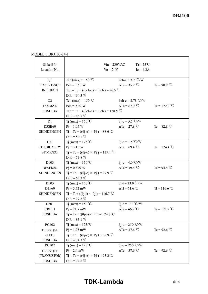$\overline{\phantom{0}}$ 

| 部品番号<br>Location No.                                        |                                                                                                                         | $V$ in = 230VAC<br>$\text{Vo} = 24\text{V}$ | $Ta = 55^{\circ}C$<br>$I_0 = 4.2A$                                              |                 |
|-------------------------------------------------------------|-------------------------------------------------------------------------------------------------------------------------|---------------------------------------------|---------------------------------------------------------------------------------|-----------------|
| Q1<br>IPA60R199CP<br><b>INFINEON</b>                        | Tch (max) = $150^{\circ}$ C<br>$Pch = 1.50 W$<br>Tch = Tc + (( $\theta$ ch-c) × Pch) = 96.5 °C<br>$D.F. = 64.3 \%$      |                                             | $\theta$ ch-c = 3.7 °C/W<br>$\Delta Tc = 35.9$ °C                               | $Tc = 90.9$ °C  |
| Q2<br><b>TK8A65D</b><br><b>TOSHIBA</b>                      | Tch (max) = $150^{\circ}$ C<br>$Pch = 2.02 W$<br>Tch = Tc + (( $\theta$ ch-c) × Pch) = 128.5 °C<br>$D.F. = 85.7 \%$     | $\Delta$ Tc = 67.9 °C                       | $\theta$ ch-c = 2.78 °C/W                                                       | $Tc = 122.9$ °C |
| D1<br>D3SB60<br><b>SHINDENGEN</b>                           | T <sub>j</sub> (max) = 150 °C<br>$Pi = 1.05 W$<br>$Tj = Tc + ((\theta j - c) \times Pj) = 88.6 °C$<br>D.F. = $59.1\%$   |                                             | $\theta$ j-c = 5.5 °C/W<br>$\Delta Tc = 27.8$ °C                                | $Tc = 82.8 °C$  |
| D51<br>STPS30150CW<br>ST MICRO.                             | Tj (max) = 175 °C<br>$Pi = 3.15 W$<br>$Tj = Tc + ((\theta j - c) \times Pj) = 129.1$ °C<br>$D.F. = 73.8 \%$             |                                             | $\theta$ j-c = 1.5 °C/W<br>$\Delta Tc = 69.4$ °C                                | $Tc = 124.4 °C$ |
| D <sub>103</sub><br>DE5L60U<br><b>SHINDENGEN</b>            | T <sub>1</sub> (max) = 150 °C<br>$Pi = 0.879$ W<br>$Tj = Tc + ((\theta j - c) \times Pj) = 97.9$ °C<br>D.F. = $65.3 \%$ |                                             | $\theta$ j-c = 4.0 °C/W<br>$\Delta Tc = 39.4 \text{ °C}$ $Tc = 94.4 \text{ °C}$ |                 |
| D105<br>D1F60<br><b>SHINDENGEN</b>                          | Tj (max) = 150 °C<br>$Pi = 5.72$ mW<br>$Tj = Tl + ((\theta j - l) \times Pj) = 116.7$ °C<br>$D.F. = 77.8 \%$            |                                             | $\theta$ j-l = 23.0 °C/W<br>$\Delta T = 61.6$ °C                                | $T = 116.6 °C$  |
| D <sub>201</sub><br>CRH01<br><b>TOSHIBA</b>                 | Tj (max) = $150^{\circ}$ C<br>$Pj = 21.7$ mW<br>$Tj = Ta + ((\theta j - a) \times Pj) = 124.7 °C$<br>$D.F. = 83.1 \%$   |                                             | $\theta$ j-a = 130 °C/W<br>$\Delta$ Ta = 66.9 °C                                | Ta = 121.9 °C   |
| PC102<br>TLP291(SE<br>(LED)<br><b>TOSHIBA</b>               | T <sub>1</sub> (max) = 125 °C<br>$Pj = 1.25$ mW<br>$Tj = Tc + ((\theta j - c) \times Pj) = 92.9$ °C<br>$D.F. = 74.3 \%$ | $\Delta Tc = 37.6 °C$                       | $\theta$ j-c = 250 °C/W                                                         | Tc = 92.6 °C    |
| PC102<br><b>TLP291(SE</b><br>(TRANSISTOR)<br><b>TOSHIBA</b> | Tj (max) = 125 °C<br>$Pj = 2.4$ mW<br>$Tj = Tc + ((\theta j - c) \times Pj) = 93.2$ °C<br>$D.F. = 74.6 \%$              | $\Delta$ Tc = 37.6 °C                       | $\theta$ j-c = 250 °C/W                                                         | Tc = 92.6 °C    |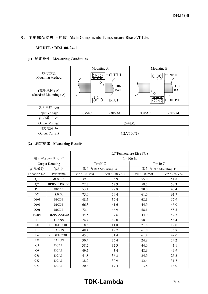### 3.主要部品温度上昇値 **Main Components Temperature Rise** △**T List**

### **MODEL : DRJ100-24-1**

### **(1)** 測定条件 **Measuring Conditions**

|                                                               |                                            | Mounting A                                                                      |                                                | Mounting B                                                         |  |  |  |  |  |  |  |  |
|---------------------------------------------------------------|--------------------------------------------|---------------------------------------------------------------------------------|------------------------------------------------|--------------------------------------------------------------------|--|--|--|--|--|--|--|--|
| 取付方法<br>Mounting Method<br>(標準取付:A)<br>(Standard Mounting: A) | $\overline{+V}$ $\overline{+V}$<br>4 illin | $\leftarrow$ OUTPUT<br>O<br>$\circ$<br>DIN<br><b>RAIL</b><br>$\leftarrow$ INPUT | N<br>$\circ$<br>88888888<br>∩<br><u>A A A+</u> | $\vdash$ INPUT<br>OD.<br>DIN<br><b>RAIL</b><br>$\leftarrow$ output |  |  |  |  |  |  |  |  |
| 入力電圧 Vin                                                      |                                            |                                                                                 |                                                |                                                                    |  |  |  |  |  |  |  |  |
|                                                               |                                            |                                                                                 |                                                |                                                                    |  |  |  |  |  |  |  |  |
| Input Voltage                                                 | 100VAC                                     | 230VAC                                                                          | 100VAC                                         | 230VAC                                                             |  |  |  |  |  |  |  |  |
| 出力電圧 Vo                                                       |                                            |                                                                                 |                                                |                                                                    |  |  |  |  |  |  |  |  |
| Output Voltage                                                |                                            |                                                                                 | 24VDC                                          |                                                                    |  |  |  |  |  |  |  |  |
| 出力電流 Io                                                       |                                            |                                                                                 |                                                |                                                                    |  |  |  |  |  |  |  |  |
| <b>Output Current</b>                                         | $4.2A(100\%)$                              |                                                                                 |                                                |                                                                    |  |  |  |  |  |  |  |  |

### **(2)** 測定結果 **Measuring Results**

|                  |                        | $\Delta T$ Temperature Rise (°C) |                  |                  |                    |  |  |  |  |  |  |
|------------------|------------------------|----------------------------------|------------------|------------------|--------------------|--|--|--|--|--|--|
|                  | 出力ディレーティング             | $I_0 = 100\%$                    |                  |                  |                    |  |  |  |  |  |  |
|                  | <b>Output Derating</b> | Ta= $55^{\circ}$ C               |                  |                  | Ta= $40^{\circ}$ C |  |  |  |  |  |  |
| 部品番号             | 部品名                    |                                  | 取付方向: Mounting A | 取付方向: Mounting B |                    |  |  |  |  |  |  |
| Location No.     | Part name              | $Vin$ : 100VAC                   | Vin: 230VAC      | $Vin:100$ VAC    | Vin: 230VAC        |  |  |  |  |  |  |
| Q1               | <b>MOS FET</b>         | 39.0                             | 35.9             | 55.0             | 51.8               |  |  |  |  |  |  |
| Q2               | <b>BRIDGE DIODE</b>    | 72.7                             | 67.9             | 58.5             | 58.3               |  |  |  |  |  |  |
| D1               | <b>DIODE</b>           | 53.4                             | 27.8             | 70.0             | 47.4               |  |  |  |  |  |  |
| D51              | S.B.D.                 | 75.0                             | 69.4             | 61.0             | 61.7               |  |  |  |  |  |  |
| D <sub>103</sub> | <b>DIODE</b>           | 48.5                             | 39.4             | 68.1             | 57.9               |  |  |  |  |  |  |
| D <sub>105</sub> | <b>DIODE</b>           | 66.3                             | 61.6             | 44.9             | 45.0               |  |  |  |  |  |  |
| D <sub>201</sub> | <b>DIODE</b>           | 72.4                             | 66.9             | 58.1             | 58.5               |  |  |  |  |  |  |
| PC102            | PHOTO COUPLER          | 44.5                             | 37.6             | 44.9             | 42.7               |  |  |  |  |  |  |
| T1               | <b>TRANS</b>           | 74.4                             | 69.0             | 58.3             | 58.4               |  |  |  |  |  |  |
| L31              | <b>CHOKE COIL</b>      | 18.5                             | 11.8             | 21.8             | 17.0               |  |  |  |  |  |  |
| L1               | <b>BALUN</b>           | 48.4                             | 19.7             | 61.0             | 35.8               |  |  |  |  |  |  |
| L4               | <b>CHOKE COIL</b>      | 45.0                             | 31.4             | 61.4             | 49.0               |  |  |  |  |  |  |
| L71              | <b>BALUN</b>           | 30.4                             | 26.4             | 24.8             | 24.2               |  |  |  |  |  |  |
| C <sub>5</sub>   | E.CAP.                 | 38.2                             | 32.3             | 44.0             | 41.1               |  |  |  |  |  |  |
| C <sub>6</sub>   | E.CAP.                 | 49.5                             | 43.4             | 48.6             | 46.9               |  |  |  |  |  |  |
| C51              | E.CAP.                 | 41.8                             | 36.3             | 24.9             | 25.2               |  |  |  |  |  |  |
| C52              | E.CAP.                 | 38.2                             | 30.9             | 32.4             | 31.7               |  |  |  |  |  |  |
| C73              | E.CAP.                 | 20.8                             | 17.4             | 13.8             | 14.0               |  |  |  |  |  |  |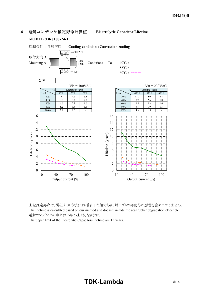

上記推定寿命は、弊社計算方法により算出した値であり、封口ゴムの劣化等の影響を含めておりません。 The lifetime is calculated based on our method and doesn't include the seal rubber degradation effect etc. 電解コンデンサの寿命は15年が上限となります。

The upper limit of the Electolytic Capacitors lifetime are 15 years.

# **TDK-Lambda** 8/14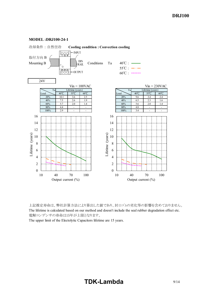

#### **MODEL :DRJ100-24-1**

上記推定寿命は、弊社計算方法により算出した値であり、封口ゴムの劣化等の影響を含めておりません。 The lifetime is calculated based on our method and doesn't include the seal rubber degradation effect etc. 電解コンデンサの寿命は15年が上限となります。

The upper limit of the Electolytic Capacitors lifetime are 15 years.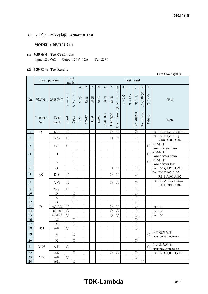### 5.アブノーマル試験 **Abnormal Test**

### **MODEL : DRJ100-24-1**

### **(1)** 試験条件 **Test Conditions** Input : 230VAC Output : 24V, 4.2A Ta : 25℃

### **(2)** 試験結果 **Test Results**

|                |                 | (Da: Damaged)                 |             |                                                    |                       |             |             |           |           |             |                                      |                                                    |                                         |                         |                               |                         |                                           |
|----------------|-----------------|-------------------------------|-------------|----------------------------------------------------|-----------------------|-------------|-------------|-----------|-----------|-------------|--------------------------------------|----------------------------------------------------|-----------------------------------------|-------------------------|-------------------------------|-------------------------|-------------------------------------------|
|                |                 | Test<br>Test position<br>mode |             |                                                    |                       |             |             |           |           |             |                                      |                                                    | Test result                             |                         |                               |                         |                                           |
|                |                 |                               |             |                                                    | a                     | $\mathbf b$ | $\mathbf c$ | ${\rm d}$ | ${\rm e}$ | $\mathbf f$ | $\mathbf{g}$                         | $\boldsymbol{h}$                                   | $\mathbf{i}$                            |                         | $\mathbf k$                   | 1                       |                                           |
| No.            | 部品No.           | 試験端子                          | シ<br>ヨ<br>Ь | 才<br>$\overline{\phantom{a}}$<br>プ<br>$\checkmark$ | 発<br>火                | 発<br>煙      | 破<br>裂      | 異<br>臭    | 赤<br>熱    | 破<br>損      | ヒ<br>$\mathrel{\sqsupset}$<br>ズ<br>断 | $\circ$<br>$\overline{\mathrm{V}}$<br>$\mathbf{P}$ | $\circ$<br>$\mathcal{C}$<br>$\mathbf P$ | 出<br>力<br>断             | 変<br>化<br>$\vec{z}$<br>$\cup$ | そ<br>$\mathcal{D}$<br>他 | 記事                                        |
|                | Location<br>No. | Test<br>point                 | Short       | Open                                               | $\operatorname{Fire}$ | Smoke       | Burst       | Smell     | Red hot   | Damaged     | blown<br>Fuse                        |                                                    |                                         | output<br>$\frac{1}{2}$ | change<br>$\overline{S}$      | Others                  | Note                                      |
| 1              | Q1              | $D-S$                         | $\bigcirc$  |                                                    |                       |             |             |           |           | $\bigcirc$  | $\bigcirc$                           |                                                    |                                         | $\bigcirc$              |                               |                         | Da: F31, D1, Z101, R104                   |
| 2              |                 | $D-G$                         | $\bigcirc$  |                                                    |                       |             |             |           |           | $\bigcirc$  | $\bigcirc$                           |                                                    |                                         | $\bigcirc$              |                               |                         | Da: F31, D1, Z101, Q1<br>R104, A101, A102 |
| $\overline{3}$ |                 | $G-S$                         | $\bigcirc$  |                                                    |                       |             |             |           |           |             |                                      |                                                    |                                         |                         |                               | O                       | 力率低下<br>Power factor down                 |
| $\overline{4}$ |                 | D                             |             | $\bigcirc$                                         |                       |             |             |           |           |             |                                      |                                                    |                                         |                         |                               | O                       | 力率低下<br>Power factor down                 |
| 5              |                 | S                             |             | ◯                                                  |                       |             |             |           |           |             |                                      |                                                    |                                         |                         |                               | $\bigcirc$              | 力率低下<br>Power factor low                  |
| 6              |                 | $\mathbf G$                   |             | $\bigcirc$                                         |                       |             |             |           |           | $\bigcirc$  | $\bigcirc$                           |                                                    |                                         | $\bigcirc$              |                               |                         | Da: F31, Q1, R104, Z101                   |
| $\overline{7}$ | Q2              | $D-S$                         | $\bigcirc$  |                                                    |                       |             |             |           |           | $\bigcirc$  | $\bigcirc$                           |                                                    |                                         | O                       |                               |                         | Da: F31, D103, Z103,<br>R111, A101, A102  |
| $8\,$          |                 | $D-G$                         | $\bigcirc$  |                                                    |                       |             |             |           |           | $\bigcirc$  | $\bigcirc$                           |                                                    |                                         | $\bigcirc$              |                               |                         | Da:F31,Z102,Z103,Q2<br>R111, D103, A102   |
| 9              |                 | $G-S$                         | $\bigcirc$  |                                                    |                       |             |             |           |           |             |                                      |                                                    |                                         | $\bigcirc$              |                               |                         |                                           |
| $10\,$         |                 | $\mathbf D$                   |             | O                                                  |                       |             |             |           |           |             |                                      |                                                    |                                         | $\bigcirc$              |                               |                         |                                           |
| 11             |                 | $\mathbf S$                   |             | $\bigcirc$                                         |                       |             |             |           |           |             |                                      |                                                    |                                         | $\bigcirc$              |                               |                         |                                           |
| 12             |                 | G                             |             | $\bigcirc$                                         |                       |             |             |           |           |             |                                      |                                                    |                                         | $\bigcirc$              |                               |                         |                                           |
| 13             | D <sub>1</sub>  | $AC-AC$                       | $\bigcirc$  |                                                    |                       |             |             |           |           | $\bigcirc$  | $\bigcirc$                           |                                                    |                                         | $\bigcirc$              |                               |                         | Da: F31                                   |
| 14             |                 | $DC-DC$                       | $\bigcirc$  |                                                    |                       |             |             |           |           | $\bigcirc$  | $\bigcirc$                           |                                                    |                                         | $\bigcirc$              |                               |                         | Da: F31                                   |
| 15             |                 | $AC-DC$                       | $\bigcirc$  |                                                    |                       |             |             |           |           | $\bigcirc$  | $\bigcirc$                           |                                                    |                                         | $\bigcirc$              |                               |                         | Da: F31                                   |
| 16             |                 | $\mathbf{A}\mathbf{C}$        |             | $\bigcirc$                                         |                       |             |             |           |           |             |                                      |                                                    |                                         | $\bigcirc$              |                               |                         |                                           |
| $17\,$         |                 | $DC$                          |             | $\bigcirc$                                         |                       |             |             |           |           |             |                                      |                                                    |                                         | $\bigcirc$              |                               |                         |                                           |
| 18             | D51             | $A-K$                         | $\bigcirc$  |                                                    |                       |             |             |           |           |             |                                      |                                                    |                                         | $\bigcap$               |                               |                         |                                           |
| 19             |                 | A                             |             | $\bigcirc$                                         |                       |             |             |           |           |             |                                      |                                                    |                                         |                         |                               | О                       | 入力電力増加<br>Input power increase            |
| 20             |                 | K                             |             | O                                                  |                       |             |             |           |           |             |                                      |                                                    |                                         | O                       |                               |                         |                                           |
| 21             | D103            | $A-K$                         | $\bigcirc$  |                                                    |                       |             |             |           |           |             |                                      |                                                    |                                         |                         |                               | $\bigcirc$              | 入力電力増加<br>Input power increase            |
| 22             |                 | $A/K$                         |             | $\bigcirc$                                         |                       |             |             |           |           | $\bigcirc$  | $\bigcirc$                           |                                                    |                                         | $\bigcirc$              |                               |                         | Da: F31, Q1, R104, Z101                   |
| 23             | D105            | $A-K$                         | $\bigcirc$  |                                                    |                       |             |             |           |           |             |                                      |                                                    |                                         | $\bigcirc$              |                               |                         |                                           |
| 24             |                 | $\mathbf{A/K}$                |             | $\bigcirc$                                         |                       |             |             |           |           |             |                                      |                                                    |                                         |                         | $\bigcirc$                    |                         |                                           |

# **TDK-Lambda** 10/14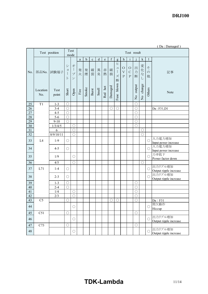|              | (Da: Damaged)   |                    |                               |                          |                       |             |             |        |         |             |                                                           |                                        |                                          |                          |                          |                         |                                   |
|--------------|-----------------|--------------------|-------------------------------|--------------------------|-----------------------|-------------|-------------|--------|---------|-------------|-----------------------------------------------------------|----------------------------------------|------------------------------------------|--------------------------|--------------------------|-------------------------|-----------------------------------|
|              |                 | Test position      |                               | Test<br>mode             |                       | Test result |             |        |         |             |                                                           |                                        |                                          |                          |                          |                         |                                   |
|              |                 |                    |                               |                          | $\mathbf{a}$          | b           | $\mathbf c$ | d      | e       | $\mathbf f$ | g                                                         | $\boldsymbol{h}$                       | $\mathbf{i}$                             |                          | $\mathbf k$              | $\mathbf{l}$            |                                   |
| No.          | 部品No.           | 試験端子               | $\ddot{\checkmark}$<br>ヨ<br>F | 才<br>プ<br>$\mathcal V$   | 発<br>火                | 発<br>煙      | 破<br>裂      | 異<br>臭 | 赤<br>熱  | 破<br>損      | ヒ<br>ユ<br>$\begin{array}{c} \hline \end{array}$<br>ズ<br>断 | $\circ$<br>$\mathbf V$<br>$\mathbf{P}$ | $\circ$<br>$\mathcal{C}$<br>$\mathbf{P}$ | 出<br>力<br>断              | 変<br>化<br>な<br>L         | そ<br>$\mathcal{O}$<br>他 | 記事                                |
|              | Location<br>No. | Test<br>point      | Short                         | Open                     | $\operatorname{Fire}$ | Smoke       | Burst       | Smell  | Red hot | Damaged     | blown<br>Fuse                                             |                                        |                                          | No output                | change<br>$\overline{R}$ | Others                  | Note                              |
| 25           | T1              | $1 - 3$            | $\bigcirc$                    |                          |                       |             |             |        |         |             |                                                           |                                        |                                          | $\bigcirc$               |                          |                         |                                   |
| 26           |                 | $3 - 4$            | $\bigcirc$                    |                          |                       |             |             |        |         | $\bigcirc$  | $\bigcirc$                                                |                                        |                                          | $\bigcirc$               |                          |                         | Da: F31,D1                        |
| 27           |                 | $4 - 5$            | $\bigcirc$                    |                          |                       |             |             |        |         |             |                                                           |                                        |                                          | $\bigcirc$               |                          |                         |                                   |
| 28           |                 | $5 - 6$            | $\bigcirc$                    |                          |                       |             |             |        |         |             |                                                           |                                        |                                          | $\bigcirc$               |                          |                         |                                   |
| 29           |                 | $9 - 10$           | $\bigcirc$                    |                          |                       |             |             |        |         |             |                                                           |                                        |                                          | $\bigcirc$               |                          |                         |                                   |
| $30\,$       |                 | 1/3/4/5            |                               | $\bigcirc$               |                       |             |             |        |         |             |                                                           |                                        |                                          | $\bigcirc$               |                          |                         |                                   |
| 31           |                 | 6                  |                               | $\bigcirc$<br>$\bigcirc$ |                       |             |             |        |         |             |                                                           |                                        |                                          |                          | $\bigcirc$               |                         |                                   |
| 32           |                 | 8/9/10/11          |                               |                          |                       |             |             |        |         |             |                                                           |                                        |                                          |                          | $\bigcirc$               |                         | 入力電力増加                            |
| 33           | L4              | $1-9$              | $\bigcirc$                    |                          |                       |             |             |        |         |             |                                                           |                                        |                                          |                          |                          | $\bigcirc$              | Input power increase              |
| 34           |                 | $4 - 5$            | $\bigcirc$                    |                          |                       |             |             |        |         |             |                                                           |                                        |                                          |                          |                          | $\bigcirc$              | 入力電力増加                            |
|              |                 |                    |                               |                          |                       |             |             |        |         |             |                                                           |                                        |                                          |                          |                          |                         | Input power increase              |
| 35           |                 | 1/9                |                               | O                        |                       |             |             |        |         |             |                                                           |                                        |                                          |                          |                          | $\bigcirc$              | 力率低下                              |
| 36           |                 | 4/5                |                               | $\bigcirc$               |                       |             |             |        |         |             |                                                           |                                        |                                          |                          | $\bigcirc$               |                         | Power factor down                 |
|              |                 |                    |                               |                          |                       |             |             |        |         |             |                                                           |                                        |                                          |                          |                          |                         | 出力リプル増加                           |
| 37           | L71             | $1-4$              | $\bigcirc$                    |                          |                       |             |             |        |         |             |                                                           |                                        |                                          |                          |                          | $\bigcirc$              | Output ripple increase            |
| 38           |                 | $2 - 3$            | $\bigcirc$                    |                          |                       |             |             |        |         |             |                                                           |                                        |                                          |                          |                          | $\bigcirc$              | 出力リプル増加                           |
|              |                 |                    |                               |                          |                       |             |             |        |         |             |                                                           |                                        |                                          |                          |                          |                         | Output ripple increase            |
| 39<br>$40\,$ |                 | $1 - 3$<br>$2 - 4$ | $\bigcirc$<br>$\bigcirc$      |                          |                       |             |             |        |         |             |                                                           |                                        |                                          | $\bigcirc$<br>$\bigcirc$ |                          |                         |                                   |
| 41           |                 | 1/4                |                               | $\bigcirc$               |                       |             |             |        |         |             |                                                           |                                        |                                          | $\bigcirc$               |                          |                         |                                   |
| 42           |                 | 2/3                |                               | $\bigcirc$               |                       |             |             |        |         |             |                                                           |                                        |                                          | $\bigcirc$               |                          |                         |                                   |
| 43           | C <sub>5</sub>  |                    | $\bigcirc$                    |                          |                       |             |             |        |         | $\bigcirc$  | $\bigcirc$                                                |                                        |                                          | $\bigcirc$               |                          |                         | Da : F31                          |
|              |                 |                    |                               |                          |                       |             |             |        |         |             |                                                           |                                        |                                          |                          |                          |                         | 間欠動作                              |
| 44           |                 |                    |                               | $\bigcirc$               |                       |             |             |        |         |             |                                                           |                                        |                                          |                          |                          | O                       | Hiccup                            |
| 45           | C51             |                    | $\bigcirc$                    |                          |                       |             |             |        |         |             |                                                           |                                        |                                          | $\bigcirc$               |                          |                         |                                   |
| 46           |                 |                    |                               | $\bigcirc$               |                       |             |             |        |         |             |                                                           |                                        |                                          |                          |                          | $\bigcirc$              | 出力リプル増加<br>Output ripple increase |
| $47\,$       | C73             |                    | $\bigcirc$                    |                          |                       |             |             |        |         |             |                                                           |                                        |                                          | $\bigcirc$               |                          |                         |                                   |
| 48           |                 |                    |                               | $\bigcirc$               |                       |             |             |        |         |             |                                                           |                                        |                                          |                          |                          | $\bigcirc$              | 出力リプル増加<br>Output ripple increase |

# **TDKLambda** 11/14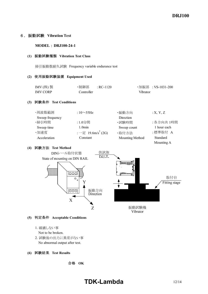### 6.振動試験 **Vibration Test**

### **MODEL** : DRJ100-24-1

#### **(1)** 振動試験種類 **Vibration Test Class**

掃引振動数耐久試験 Frequency variable endurance test

#### **(2)** 使用振動試験装置 **Equipment Used**

| IMV $($ 株) 製    | ・制御部  : RC-1120 |          | ・加振部 :VS-1031-200 |
|-----------------|-----------------|----------|-------------------|
| <b>IMV CORP</b> | Controller      | Vibrator |                   |

### **(3)** 試験条件 **Test Conditions**

| ·周波数範囲          | : $10\sim$ 55Hz                            | ・振動方向           | :X, Y, Z    |
|-----------------|--------------------------------------------|-----------------|-------------|
| Sweep frequency |                                            | Direction       |             |
| ·掃引時間           | :1.0分間                                     | ・試験時間           | : 各方向共 1時間  |
| Sweep time      | 1.0 <sub>min</sub>                         | Sweep count     | 1 hour each |
| ·加速度            | $:$ $ \hat{\pi}$ 19.6m/s <sup>2</sup> (2G) | ·取付方法           | :標準取付 A     |
| Acceleration    | Constant                                   | Mounting Method | Standard    |
|                 |                                            |                 | Mounting A  |

### **(4)** 試験方法 **Test Method**



- **(5)** 判定条件 **Acceptable Conditions**
	- 1. 破壊しない事
	- Not to be broken.
	- 2. 試験後の出力に異常がない事 No abnormal output after test.

### **(6)** 試験結果 **Test Results**

合格 **OK**

# **TDK-Lambda** 12/14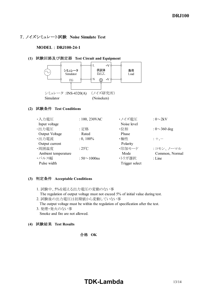### 7.ノイズシミュレート試験 **Noise Simulate Test**

### **MODEL : DRJ100-24-1**

### **(1)** 試験回路及び測定器 **Test Circuit and Equipment**



### **(2)** 試験条件 **Test Conditions**

| ・入力電圧                 | $: 100, 230$ VAC    | ・ノイズ電圧         | : $0\sim2kV$       |
|-----------------------|---------------------|----------------|--------------------|
| Input voltage         |                     | Noise level    |                    |
| ・出力電圧                 | :定格                 | ・位相            | : $0 \sim 360$ deg |
| <b>Output Voltage</b> | Rated               | Phase          |                    |
| ·出力電流                 | $: 0, 100\%$        | ・極性            | $: +, -$           |
| Output current        |                     | Polarity       |                    |
| ·周囲温度                 | : $25^{\circ}$ C    | ・印加モード         | :コモン、ノーマル          |
| Ambient temperature   |                     | Mode           | Common, Normal     |
| ・パルス幅                 | : $50 \sim 1000$ ns | ・トリガ選択         | $:$ Line           |
| Pulse width           |                     | Trigger select |                    |

### **(3)** 判定条件 **Acceptable Conditions**

- 1. 試験中、5%を超える出力電圧の変動のない事 The regulation of output voltage must not exceed 5% of initial value during test.
- 2. 試験後の出力電圧は初期値から変動していない事 The output voltage must be within the regulation of specification after the test.
- 3. 発煙・発火のない事 Smoke and fire are not allowed.

**(4)** 試験結果 **Test Results**

### 合格 **OK**

# **TDK-Lambda** 13/14